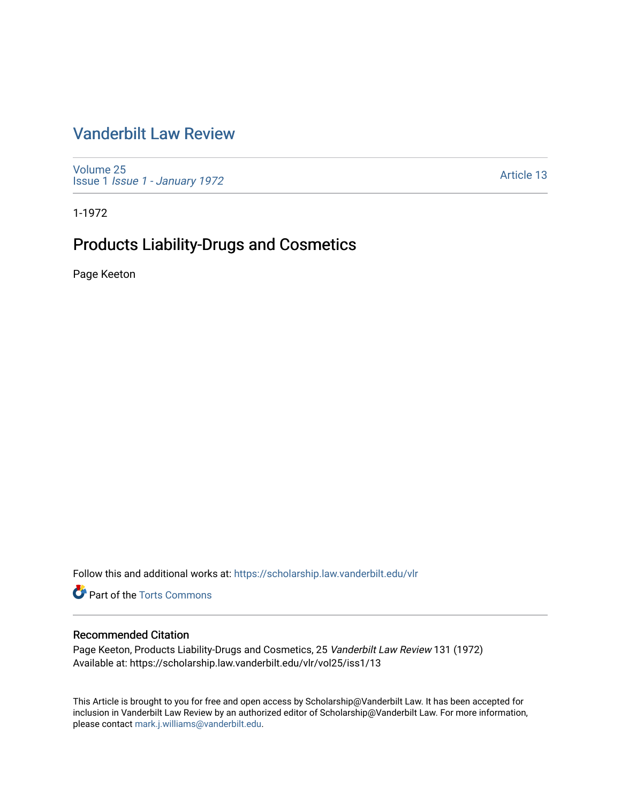## [Vanderbilt Law Review](https://scholarship.law.vanderbilt.edu/vlr)

[Volume 25](https://scholarship.law.vanderbilt.edu/vlr/vol25) Issue 1 [Issue 1 - January 1972](https://scholarship.law.vanderbilt.edu/vlr/vol25/iss1)

[Article 13](https://scholarship.law.vanderbilt.edu/vlr/vol25/iss1/13) 

1-1972

# Products Liability-Drugs and Cosmetics

Page Keeton

Follow this and additional works at: [https://scholarship.law.vanderbilt.edu/vlr](https://scholarship.law.vanderbilt.edu/vlr?utm_source=scholarship.law.vanderbilt.edu%2Fvlr%2Fvol25%2Fiss1%2F13&utm_medium=PDF&utm_campaign=PDFCoverPages)

**C** Part of the [Torts Commons](http://network.bepress.com/hgg/discipline/913?utm_source=scholarship.law.vanderbilt.edu%2Fvlr%2Fvol25%2Fiss1%2F13&utm_medium=PDF&utm_campaign=PDFCoverPages)

### Recommended Citation

Page Keeton, Products Liability-Drugs and Cosmetics, 25 Vanderbilt Law Review 131 (1972) Available at: https://scholarship.law.vanderbilt.edu/vlr/vol25/iss1/13

This Article is brought to you for free and open access by Scholarship@Vanderbilt Law. It has been accepted for inclusion in Vanderbilt Law Review by an authorized editor of Scholarship@Vanderbilt Law. For more information, please contact [mark.j.williams@vanderbilt.edu.](mailto:mark.j.williams@vanderbilt.edu)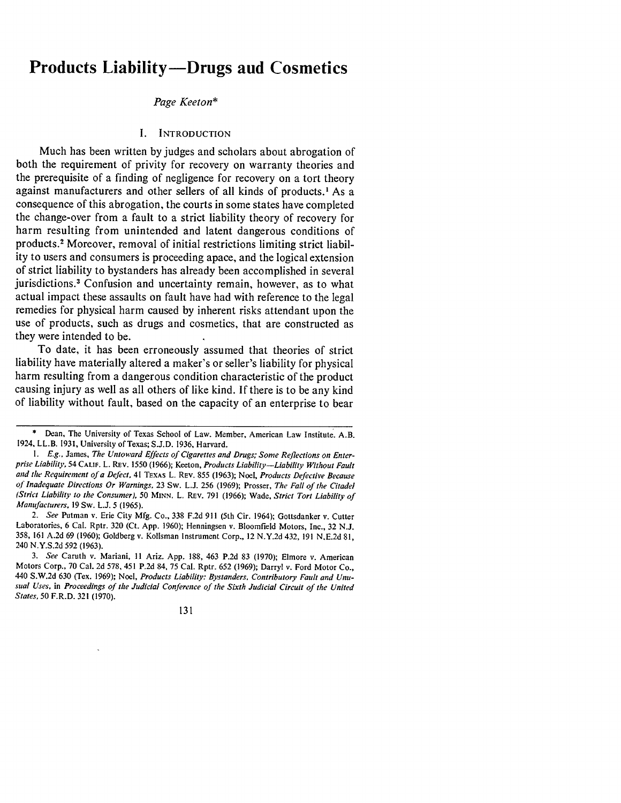### **Products Liability-Drugs and Cosmetics**

#### *Page Keeton\**

#### **I. INTRODUCTION**

Much has been written **by** judges and scholars about abrogation of both the requirement of privity for recovery on warranty theories and the prerequisite of a finding of negligence for recovery on a tort theory against manufacturers and other sellers of all kinds of products.' As a consequence of this abrogation, the courts in some states have completed the change-over from a fault to a strict liability theory of recovery for harm resulting from unintended and latent dangerous conditions of products.2 Moreover, removal of initial restrictions limiting strict liability to users and consumers is proceeding apace, and the logical extension of strict liability to bystanders has already been accomplished in several jurisdictions.<sup>3</sup> Confusion and uncertainty remain, however, as to what actual impact these assaults on fault have had with reference to the legal remedies for physical harm caused **by** inherent risks attendant upon the use of products, such as drugs and cosmetics, that are constructed as they were intended to be.

To date, it has been erroneously assumed that theories of strict liability have materially altered a maker's or seller's liability for physical harm resulting from a dangerous condition characteristic of the product causing injury as well as all others of like kind. **If** there is to be any kind of liability without fault, based on the capacity of an enterprise to bear

Dean, The University of Texas School of Law. Member, American Law Institute. A.B. 1924, LL.B. **1931,** University of Texas; **S.J.D. 1936,** Harvard.

*<sup>1.</sup> E.g.,* James, *The Untoward Effects of Cigarettes and Drugs; Some Reflections on Enterprise Liability,* 54 **CALIF.** L. Rav. **1550 (1966);** Keeton, *Products Liability-Liability Without Fault and the Requirement of a Defect,* 41 **TEXAS** L. **REV. 855 (1963);** Noel, *Products Defective Because of Inadequate Directions Or Warnings,* **23** Sw. **L.J. 256 (1969);** Prosser, *The Fall of the Citadel (Strict Liability to the Consumer), 50* **MINN. L. REV. 791 (1966);** Wade, *Strict Tort Liability of Manufacturers.* **19** Sw. **L.J. 5 (1965).**

*<sup>2.</sup> See* Putman v. Erie City **Mfg. Co., 338 F.2d 911** (5th Cir. 1964); Gottsdanker v. Cutter Laboratories, **6** Cal. Rptr. **320** (Ct. **App. 1960);** Henningsen v. Bloomfield Motors, Inc., **32 N.J. 358, 161 A.2d 69 (1960);** Goldberg v. Kolisman Instrument Corp., 12 **N.Y.2d** 432, **191 N.E.2d 81,** 240 **N.Y.S.2d 592 (1963).**

*<sup>3.</sup> See* Caruth v. Mariani, **II** Ariz. **App. 188,** 463 **P.2d 83 (1970);** Elmore v. American Motors Corp., **70** Cal. **2d 578,** 451 **P.2d** 84, **75** Cal. Rptr. **652 (1969);** Darryl v. Ford Motor Co., 440 **S.W.2d 630** (Tex. **1969);** Noel, *Products Liability: Bystanders, Contributory Fault and Unusual Uses,* in *Proceedings of the Judicial Conference of the Sixth Judicial Circuit of the United States, 50* F.R.D. **321 (1970).**

<sup>131</sup>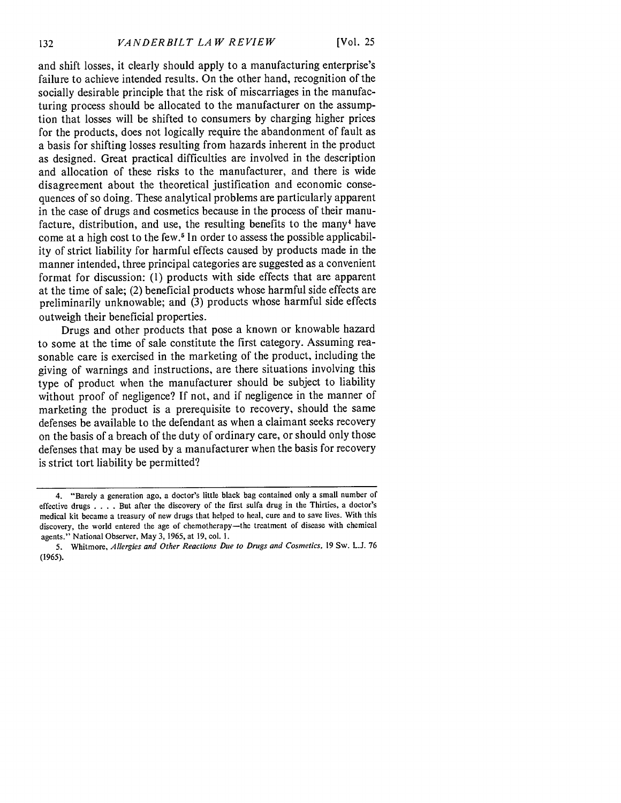and shift losses, it clearly should apply to a manufacturing enterprise's failure to achieve intended results. On the other hand, recognition of the socially desirable principle that the risk of miscarriages in the manufacturing process should be allocated to the manufacturer on the assumption that losses will be shifted to consumers by charging higher prices for the products, does not logically require the abandonment of fault as a basis for shifting losses resulting from hazards inherent in the product as designed. Great practical difficulties are involved in the description and allocation of these risks to the manufacturer, and there is wide disagreement about the theoretical justification and economic consequences of so doing. These analytical problems are particularly apparent in the case of drugs and cosmetics because in the process of their manufacture, distribution, and use, the resulting benefits to the many<sup>4</sup> have come at a high cost to the few.<sup>5</sup> In order to assess the possible applicability of strict liability for harmful effects caused by products made in the manner intended, three principal categories are suggested as a convenient format for discussion: (1) products with side effects that are apparent at the time of sale; (2) beneficial products whose harmful side effects are preliminarily unknowable; and  $(3)$  products whose harmful side effects outweigh their beneficial properties.

Drugs and other products that pose a known or knowable hazard to some at the time of sale constitute the first category. Assuming reasonable care is exercised in the marketing of the product, including the giving of warnings and instructions, are there situations involving this type of product when the manufacturer should be subject to liability without proof of negligence? If not, and if negligence in the manner of marketing the product is a prerequisite to recovery, should the same defenses be available to the defendant as when a claimant seeks recovery on the basis of a breach of the duty of ordinary care, or should only those defenses that may be used by a manufacturer when the basis for recovery is strict tort liability be permitted?

<sup>4. &</sup>quot;Barely a generation ago, a doctor's little black bag contained only a small number of effective drugs . **. .** . But after the discovery of the first sulfa drug in the Thirties, a doctor's medical kit became a treasury of new drugs that helped to heal, cure and to save lives. With this discovery, the world entered the age of chemotherapy-the treatment of disease with chemical agents." National Observer, May **3, 1965,** at **19,** col. **1.**

**<sup>5.</sup>** Whitmore, *Allergies and Other Reactions Due to Drugs and Cosmetics,* **19** Sw. **L.J. 76 (1965).**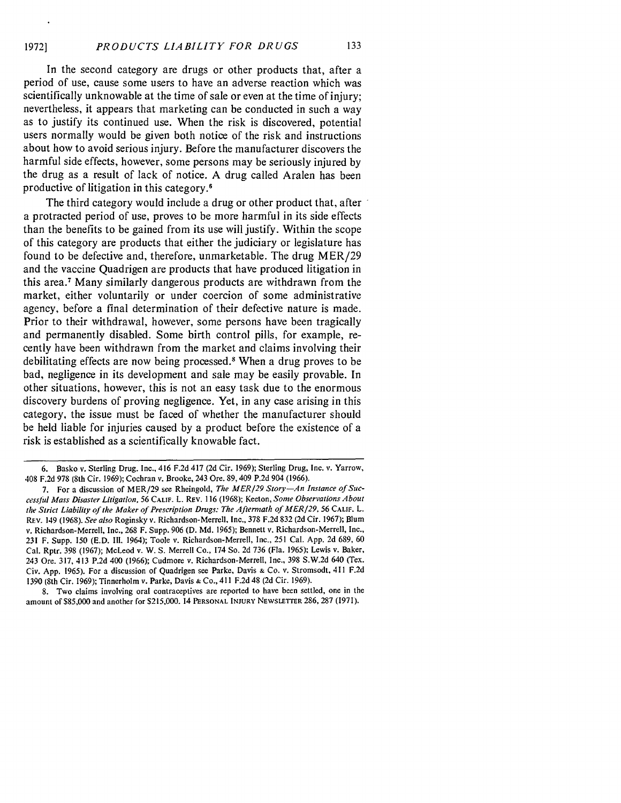In the second category are drugs or other products that, after a period of use, cause some users to have an adverse reaction which was scientifically unknowable at the time of sale or even at the time of injury; nevertheless, it appears that marketing can be conducted in such a way as to justify its continued use. When the risk is discovered, potential users normally would be given both notice of the risk and instructions about how to avoid serious injury. Before the manufacturer discovers the harmful side effects, however, some persons may be seriously injured by the drug as a result of lack of notice. A drug called Aralen has been productive of litigation in this category.'

The third category would include a drug or other product that, after a protracted period of use, proves to be more harmful in its side effects than the benefits to be gained from its use will justify. Within the scope of this category are products that either the judiciary or legislature has found to be defective and, therefore, unmarketable. The drug MER/29 and the vaccine Quadrigen are products that have produced litigation in this area.<sup>7</sup> Many similarly dangerous products are withdrawn from the market, either voluntarily or under coercion of some administrative agency, before a final determination of their defective nature is made. Prior to their withdrawal, however, some persons have been tragically and permanently disabled. Some birth control pills, for example, recently have been withdrawn from the market and claims involving their debilitating effects are now being processed.8 When a drug proves to be bad, negligence in its development and sale may be easily provable. In other situations, however, this is not an easy task due to the enormous discovery burdens of proving negligence. Yet, in any case arising in this category, the issue must be faced of whether the manufacturer should be held liable for injuries caused by a product before the existence of a risk is established as a scientifically knowable fact.

8. Two claims involving oral contraceptives are reported to have been settled, one in the amount of S85,000 and another for \$215,000. 14 **PERSONAL INJURY** NEWSLETTER 286, 287 (1971).

<sup>6.</sup> Basko v. Sterling Drug. Inc., 416 F.2d 417 (2d Cir. 1969); Sterling Drug, Inc. v. Yarrow, 408 F.2d 978 (8th Cir. 1969); Cochran v. Brooke, 243 Ore. 89, 409 P.2d 904 (1966).

<sup>7.</sup> For a discussion of MER/29 see Rheingold, *The MER/29 Story-An Instance of Successlul Mass Disaster Litigation,* 56 **CALIF.** L. REv. 116 (1968); Keeton, *Some Observations About the Strict Liability of the Maker of Prescription Drugs: The Aftermath of MER/29, 56* CALIF. L. REV. 149 (1968). *See also* Roginsky v. Richardson-Merrell, Inc., 378 F.2d 832 (2d Cir. 1967); Blum v. Richardson-Merrell, Inc., 268 F. Supp. 906 (D. Md. 1965); Bennett v. Richardson-Merrell, Inc., 231 F. Supp. 150 (E.D. Ill. 1964); Toole v. Richardson-Merrell, Inc., 251 Cal. App. 2d 689, 60 Cal. Rptr. 398 (1967); McLeod v. W. S. Merrell Co., 174 So. 2d 736 (Fla. 1965); Lewis v. Baker, 243 Ore. 317, 413 P.2d 400 (1966); Cudmore v. Richardson-Merrell, Inc., 398 S.W.2d 640 (Tex. Civ. App. 1965). For a discussion of Quadrigen see Parke, Davis **&** Co. v. Stromsodt, 411 F.2d 1390 (8th Cir. 1969); Tinnerholm v. Parke, Davis **&** Co., 411 F.2d 48 (2d Cir. 1969).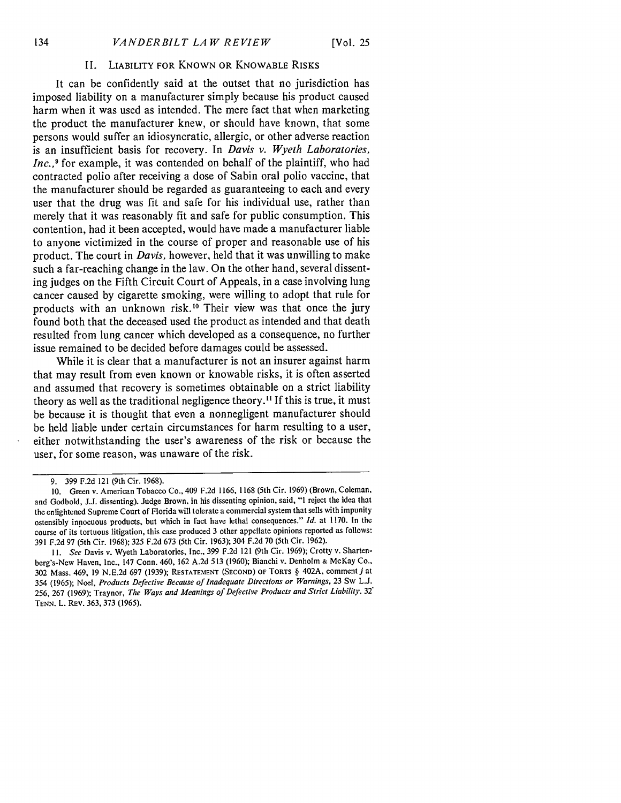#### II. LIABILITY FOR KNOWN OR KNOWABLE RISKS

It can be confidently said at the outset that no jurisdiction has imposed liability on a manufacturer simply because his product caused harm when it was used as intended. The mere fact that when marketing the product the manufacturer knew, or should have known, that some persons would suffer an idiosyncratic, allergic, or other adverse reaction is an insufficient basis for recovery. In *Davis v. Wyeth Laboratories, Inc.*,<sup>9</sup> for example, it was contended on behalf of the plaintiff, who had contracted polio after receiving a dose of Sabin oral polio vaccine, that the manufacturer should be regarded as guaranteeing to each and every user that the drug was fit and safe for his individual use, rather than merely that it was reasonably fit and safe for public consumption. This contention, had it been accepted, would have made a manufacturer liable to anyone victimized in the course of proper and reasonable use of his product. The court in *Davis,* however, held that it was unwilling to make such a far-reaching change in the law. On the other hand, several dissenting judges on the Fifth Circuit Court of Appeals, in a case involving lung cancer caused by cigarette smoking, were willing to adopt that rule for products with an unknown risk.<sup>10</sup> Their view was that once the jury found both that the deceased used the product as intended and that death resulted from lung cancer which developed as a consequence, no further issue remained to be decided before damages could be assessed.

While it is clear that a manufacturer is not an insurer against harm that may result from even known or knowable risks, it is often asserted and assumed that recovery is sometimes obtainable on a strict liability theory as well as the traditional negligence theory." If this is true, it must be because it is thought that even a nonnegligent manufacturer should be held liable under certain circumstances for harm resulting to a user, either notwithstanding the user's awareness of the risk or because the user, for some reason, was unaware of the risk.

**<sup>9. 399</sup> F.2d** 121 (9th Cir. **1968).**

**<sup>10.</sup>** Green v. American Tobacco Co., 409 **F.2d 1166, 1168** (5th Cir. **1969)** (Brown, Coleman, and Godbold, **J.J.** dissenting). Judge Brown, in his dissenting opinion, said, **"I** reject the idea that the enlightened Supreme Court of Florida will tolerate a commercial system that sells with impunity ostensibly innocuous products, but which in fact have lethal consequences." *Id.* at **1170.** In the course of its tortuous litigation, this case produced **3** other appellate opinions reported as follows: **391 F.2d 97** (5th Cir. **1968); 325 F.2d 673** (5th Cir. **1963);** 304 **F.2d 70** (5th Cir. **1962).**

*<sup>11.</sup> See* Davis v. Wyeth Laboratories, Inc., **399 F.2d** 121 (9th Cir. **1969);** Crotty v. Shartenberg's-New Haven, Inc., 147 Conn. 460, **162 A.2d 513 (1960);** Bianchi v. Denholm **&** McKay Co., **302** Mass. 469, **19 N.E.2d 697 (1939); RESTATEMENT (SECOND)** OF TORTS § 402A, comment *j* at **354 (1965); Noel,** *Products Defective Because of Inadequate Directions or Warnings,* **23 Sw L.J. 256, 267 (1969); Traynor,** *The Ways and Meanings of Defective Products and Strict Liability, 32\** **TENN. L. REV. 363, 373 (1965).**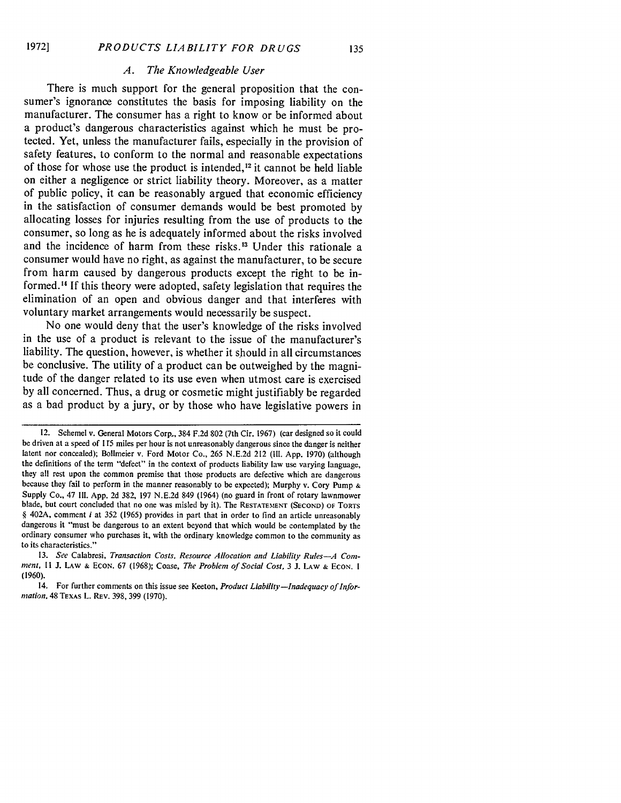#### *A. The Knowledgeable User*

There is much support for the general proposition that the consumer's ignorance constitutes the basis for imposing liability on the manufacturer. The consumer has a right to know or be informed about a product's dangerous characteristics against which he must be protected. Yet, unless the manufacturer fails, especially in the provision of safety features, to conform to the normal and reasonable expectations of those for whose use the product is intended,<sup>12</sup> it cannot be held liable on either a negligence or strict liability theory. Moreover, as a matter of public policy, it can be reasonably argued that economic efficiency in the satisfaction of consumer demands would be best promoted **by** allocating losses for injuries resulting from the use of products to the consumer, so long as he is adequately informed about the risks involved and the incidence of harm from these risks.<sup>13</sup> Under this rationale a consumer would have no right, as against the manufacturer, to be secure from harm caused **by** dangerous products except the right to be informed." **If** this theory were adopted, safety legislation that requires the elimination of an open and obvious danger and that interferes with voluntary market arrangements would necessarily be suspect.

No one would deny that the user's knowledge of the risks involved in the use of a product is relevant to the issue of the manufacturer's liability. The question, however, is whether it should in all circumstances be conclusive. The utility of a product can be outweighed **by** the magnitude of the danger related to its use even when utmost care is exercised **by** all concerned. Thus, a drug or cosmetic might justifiably be regarded as a bad product **by** a jury, or **by** those who have legislative powers in

<sup>12.</sup> Schemel v. General Motors Corp, 384 F.2d 802 (7th Cir. 1967) (car designed so it could be driven at a speed of 115 miles per hour is not unreasonably dangerous since the danger is neither latent nor concealed); Bollmeier v. Ford Motor Co., 265 N.E.2d 212 **(I11.** App. 1970) (although the definitions of the term "defect" in the context of products liability law use varying language, they all rest upon the common premise that those products are defective which are dangerous because they fail to perform in the manner reasonably to **be** expected); Murphy v. Cory Pump **&** Supply Co., 47 **I11.** App. 2d 382, 197 N.E.2d 849 (1964) (no guard in front of rotary lawnmower blade, but court concluded that no one was misled **by** it). The **RESTATEMENT (SECOND)** OF TORTS § 402A, comment i at 352 (1965) provides in part that in order to find an article unreasonably dangerous it "must be dangerous to an extent beyond that which would be contemplated **by** the ordinary consumer who purchases it, with the ordinary knowledge common to the community as to its characteristics."

<sup>13.</sup> *See* Calabresi, *Transaction Costs, Resource Allocation and Liability Rules-A Comiment,* 11 J. LAW **&** EcON. 67 (1968); Coase, *The Problem of Social Cost,* 3 J. LAW **&** EcON. I (1960).

<sup>14.</sup> For further comments on this issue see Keeton, *Product Liability—Inadequacy of Information,* 48 TEXAS L. REV. 398, 399 (1970).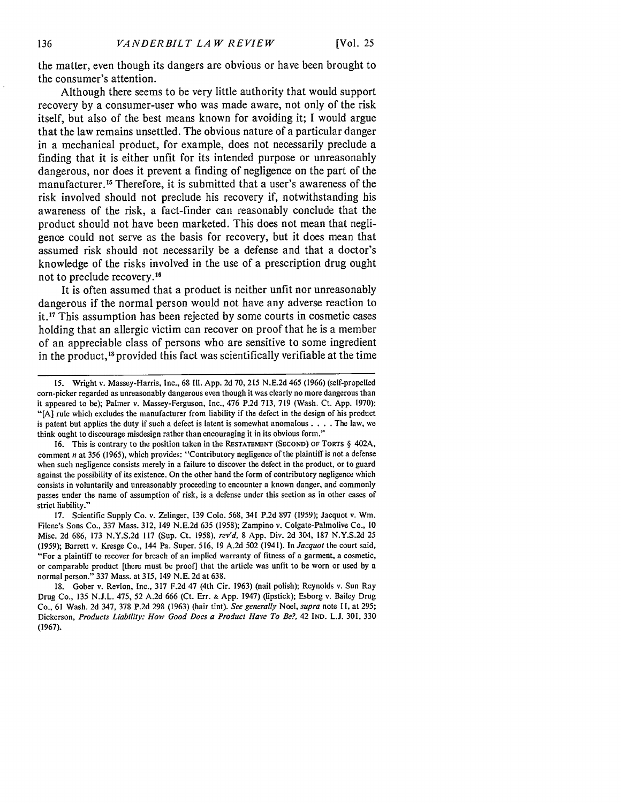the matter, even though its dangers are obvious or have been brought to the consumer's attention.

Although there seems to be very little authority that would support recovery by a consumer-user who was made aware, not only of the risk itself, but also of the best means known for avoiding it; I would argue that the law remains unsettled. The obvious nature of a particular danger in a mechanical product, for example, does not necessarily preclude a finding that it is either unfit for its intended purpose or unreasonably dangerous, nor does it prevent a finding of negligence on the part of the manufacturer. 15 Therefore, it is submitted that a user's awareness of the risk involved should not preclude his recovery if, notwithstanding his awareness of the risk, a fact-finder can reasonably conclude that the product should not have been marketed. This does not mean that negligence could not serve as the basis for recovery, but it does mean that assumed risk should not necessarily be a defense and that a doctor's knowledge of the risks involved in the use of a prescription drug ought not to preclude recovery.<sup>16</sup>

It is often assumed that a product is neither unfit nor unreasonably dangerous if the normal person would not have any adverse reaction to **it.17** This assumption has been rejected by some courts in cosmetic cases holding that an allergic victim can recover on proof that he is a member of an appreciable class of persons who are sensitive to some ingredient in the product,18 provided this fact was scientifically verifiable at the time

16. This is contrary to the position taken in the **RESTATEMENT** (SECOND) OF TORTS § 402A, comment n at 356 **(1965),** which provides: "Contributory negligence of the plaintiff is not a defense when such negligence consists merely in a failure to discover the defect in the product, or to guard against the possibility of its existence. On the other hand the form of contributory negligence which consists in voluntarily and unreasonably proceeding to encounter a known danger, and commonly passes under the name of assumption of risk, is a defense under this section as in other cases of strict liability."

17. Scientific Supply Co. v. Zelinger, 139 Colo. 568, 341 P.2d 897 (1959); Jacquot v. Win. Filene's Sons Co., 337 Mass. 312, 149 N.E.2d 635 (1958); Zampino v. Colgate-Palmolive Co., 10 Misc. 2d 686, 173 N.Y.S.2d **117** (Sup. Ct. 1958), *rev'd,* 8 App. Div. 2d 304, 187 N.Y.S.2d 25 (1959); Barrett v. Kresge Co., 144 Pa. Super. 516, 19 A.2d 502 (1941). *InJacquot* the court said, "For a plaintiff to recover for breach of an implied warranty of fitness of a garment, a cosmetic, or comparable product [there must be proof] that the article was unfit to be worn or used by a normal person." 337 Mass. at 315, 149 N.E. 2d at 638.

18. Gober v. Revlon, Inc., 317 F.2d 47 (4th Cir. 1963) (nail polish); Reynolds v. Sun Ray Drug Co., 135 N.J.L. 475, 52 A.2d 666 (Ct. Err. **&** App. 1947) (lipstick); Esborg v. Bailey Drug Co., 61 Wash. 2d 347, 378 P.2d 298 (1963) (hair tint). *See generally* Noel, *supra* note 11, at 295; Dickerson, *Products Liability: How Good Does a Product Have To Be?,* 42 IND. L.J. 301, 330 (1967).

**<sup>15.</sup>** Wright v. Massey-Harris, Inc., 68 Il1. App. 2d 70, 215 N.E.2d 465 (1966) (self-propelled corn-picker regarded as unreasonably dangerous even though it was clearly no more dangerous than it appeared to be); Palmer v. Massey-Ferguson, Inc., 476 P.2d 713, 719 (Wash. Ct. App. 1970): "[A] rule which excludes the manufacturer from liability if the defect in the design of his product is patent but applies the duty if such a defect is latent is somewhat anomalous . **. .** . The law, we think ought to discourage misdesign rather than encouraging it in its obvious form."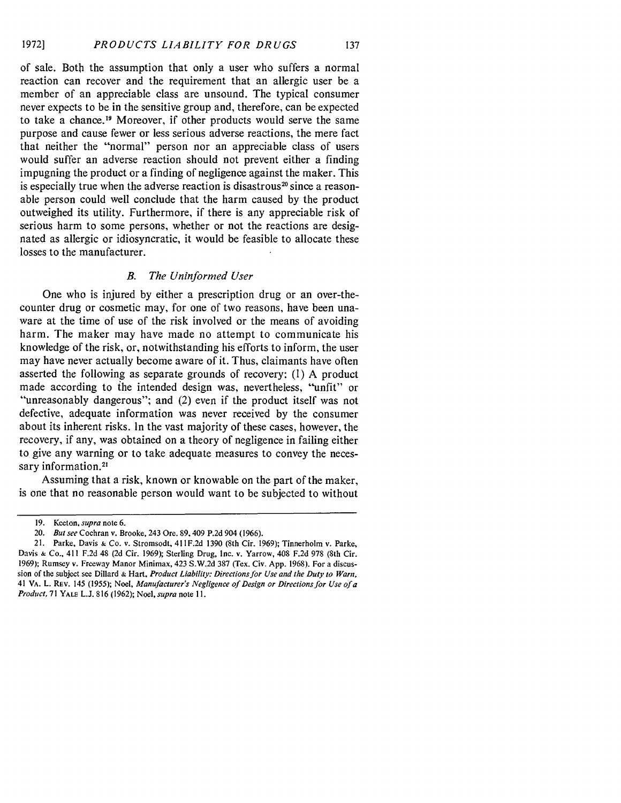of sale. Both the assumption that only a user who suffers a normal reaction can recover and the requirement that an allergic user be a member of an appreciable class are unsound. The typical consumer never expects to be in the sensitive group and, therefore, can be expected to take a chance.<sup>19</sup> Moreover, if other products would serve the same purpose and cause fewer or less serious adverse reactions, the mere fact that neither the "normal" person nor an appreciable class of users would suffer an adverse reaction should not prevent either a finding impugning the product or a finding of negligence against the maker. This is especially true when the adverse reaction is disastrous<sup>20</sup> since a reasonable person could well conclude that the harm caused by the product outweighed its utility. Furthermore, if there is any appreciable risk of serious harm to some persons, whether or not the reactions are designated as allergic or idiosyncratic, it would be feasible to allocate these losses to the manufacturer.

#### *B. The Uninformed User*

One who is injured by either a prescription drug or an over-thecounter drug or cosmetic may, for one of two reasons, have been unaware at the time of use of the risk involved or the means of avoiding harm. The maker may have made no attempt to communicate his knowledge of the risk, or, notwithstanding his efforts to inform, the user may have never actually become aware of it. Thus, claimants have often asserted the following as separate grounds of recovery: **(1)** A product made according to the intended design was, nevertheless, "unfit" or "unreasonably dangerous"; and (2) even if the product itself was not defective, adequate information was never received by the consumer about its inherent risks. In the vast majority of these cases, however, the recovery, if any, was obtained on a theory of negligence in failing either to give any warning or to take adequate measures to convey the necessary information.<sup>21</sup>

Assuming that a risk, known or knowable on the part of the maker, is one that no reasonable person would want to be subjected to without

<sup>19.</sup> Keeton, *supra* note 6.

*<sup>20.</sup> But see* Cochran v. Brooke, 243 Ore. 89, 409 P.2d 904 (1966).

<sup>21.</sup> Parke, Davis **&** Co. v. Stromsodt, 411F.2d 1390 (8th Cir. 1969); Tinnerholm v. Parke, Davis **&** Co., 411 F.2d 48 (2d Cir. 1969); Sterling Drug, Inc. v. Yarrow, 408 F.2d 978 (8th Cir. 1969); Rumsey v. Freeway Manor Minimax, 423 S.W.2d 387 (Tex. Civ. App. 1968). For a discussion of the subject see Dillard **&** Hart, *Product Liability: Directions for Use and the Duty to Warn,* 41 VA. L. REV. 145 **(1955);** Noel, *Manufacturer's Negligence of Design or Directions for Use of a Product,* **71** YALE L.J. 816 (1962); Noel, *supra* note **11.**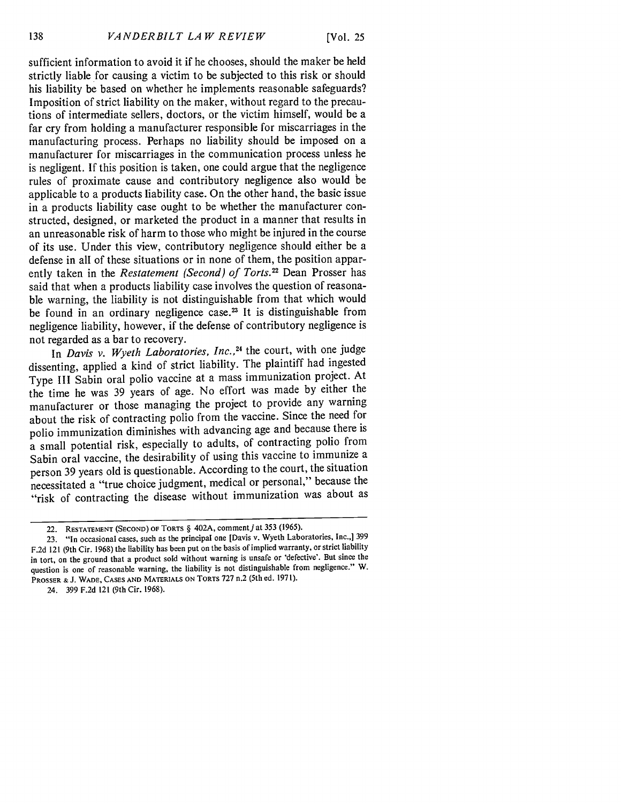[Vol. **25**

sufficient information to avoid it if he chooses, should the maker be held strictly liable for causing a victim to be subjected to this risk or should his liability be based on whether he implements reasonable safeguards? Imposition of strict liability on the maker, without regard to the precautions of intermediate sellers, doctors, or the victim himself, would be a far cry from holding a manufacturer responsible for miscarriages in the manufacturing process. Perhaps no liability should be imposed on a manufacturer for miscarriages in the communication process unless he is negligent. If this position is taken, one could argue that the negligence rules of proximate cause and contributory negligence also would be applicable to a products liability case. On the other hand, the basic issue in a products liability case ought to be whether the manufacturer constructed, designed, or marketed the product in a manner that results in an unreasonable risk of harm to those who might be injured in the course of its use. Under this view, contributory negligence should either be a defense in all of these situations or in none of them, the position apparently taken in the *Restatement (Second) of Torts*.<sup>22</sup> Dean Prosser has said that when a products liability case involves the question of reasonable warning, the liability is not distinguishable from that which would be found in an ordinary negligence case.<sup>23</sup> It is distinguishable from negligence liability, however, if the defense of contributory negligence is not regarded as a bar to recovery.

In *Davis v. Wyeth Laboratories, Inc.,24* the court, with one judge dissenting, applied a kind of strict liability. The plaintiff had ingested Type III Sabin oral polio vaccine at a mass immunization project. At the time he was 39 years of age. No effort was made by either the manufacturer or those managing the project to provide any warning about the risk of contracting polio from the vaccine. Since the need for polio immunization diminishes with advancing age and because there is a small potential risk, especially to adults, of contracting polio from Sabin oral vaccine, the desirability of using this vaccine to immunize a person 39 years old is questionable. According to the court, the situation necessitated a "true choice judgment, medical or personal," because the "risk of contracting the disease without immunization was about as

**24. 399 F.2d** 121 (9th Cir. **1968).**

**<sup>22.</sup>** RESTATEMENT **(SECOND) OF** TORTS § 402A, commentj at 353 (1965).

**<sup>23.</sup>** "In occasional cases, such as **the** principal one [Davis **v.** Wyeth Laboratories, Inc.,] **399 F.2d 121** (9th Cir. **1968)** the liability has been put on **the** basis of implied warranty, or strict liability in tort, on the ground **that** a product sold without warning is unsafe or 'defective'. **But** since **the** question is one of reasonable warning, **the** liability is not distinguishable from negligence." **W.** PROSSER **& J.** WADE, **CASES AND** MATERIALS **ON** TORTS **727** n.2 (5th **ed. 1971).**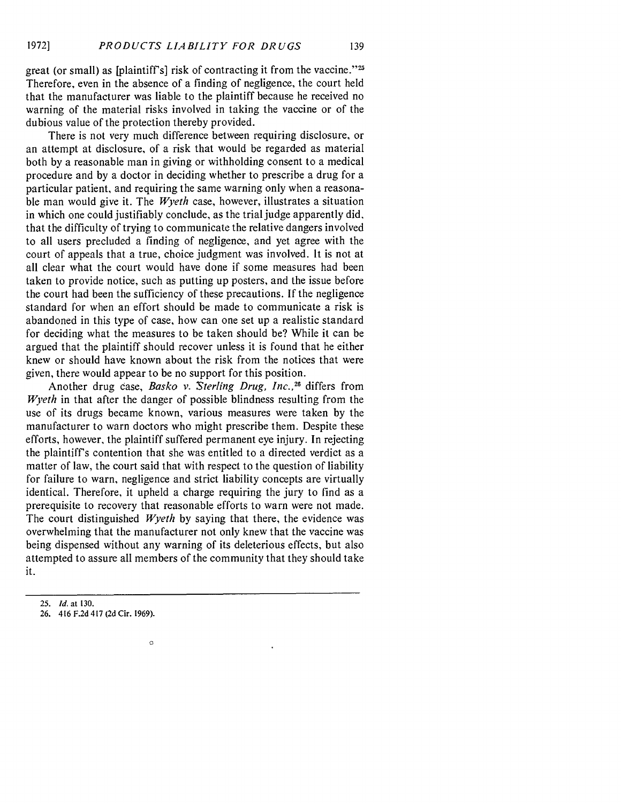great (or small) as [plaintiff's] risk of contracting it from the vaccine." $25$ Therefore, even in the absence of a finding of negligence, the court held that the manufacturer was liable to the plaintiff because he received no warning of the material risks involved in taking the vaccine or of the dubious value of the protection thereby provided.

There is not very much difference between requiring disclosure, or an attempt at disclosure, of a risk that would be regarded as material both by a reasonable man in giving or withholding consent to a medical procedure and by a doctor in deciding whether to prescribe a drug for a particular patient, and requiring the same warning only when a reasonable man would give it. The *Wyeth* case, however, illustrates a situation in which one could justifiably conclude, as the trial judge apparently did, that the difficulty of trying to communicate the relative dangers involved to all users precluded a finding of negligence, and yet agree with the court of appeals that a true, choice judgment was involved. It is not at all clear what the court would have done if some measures had been taken to provide notice, such as putting up posters, and the issue before the court had been the sufficiency of these precautions. If the negligence standard for when an effort should be made to communicate a risk is abandoned in this type of case, how can one set up a realistic standard for deciding what the measures to be taken should be? While it can be argued that the plaintiff should recover unless it is found that he either knew or should have known about the risk from the notices that were given, there would appear to be no support for this position.

Another drug case, *Basko v. Sterling Drug, Inc.,"8* differs from *Wyeth* in that after the danger of possible blindness resulting from the use of its drugs became known, various measures were taken by the manufacturer to warn doctors who might prescribe them. Despite these efforts, however, the plaintiff suffered permanent eye injury. In rejecting the plaintiff's contention that she was entitled to a directed verdict as a matter of law, the court said that with respect to the question of liability for failure to warn, negligence and strict liability concepts are virtually identical. Therefore, it upheld a charge requiring the jury to find as a prerequisite to recovery that reasonable efforts to warn were not made. The court distinguished *Wyeth* by saying that there, the evidence was overwhelming that the manufacturer not only knew that the vaccine was being dispensed without any warning of its deleterious effects, but also attempted to assure all members of the community that they should take it.

 $\circ$ 

*<sup>25.</sup> Id.* at **130.**

**<sup>26.</sup>** 416 **F.2d** 417 **(2d** Cir. **1969).**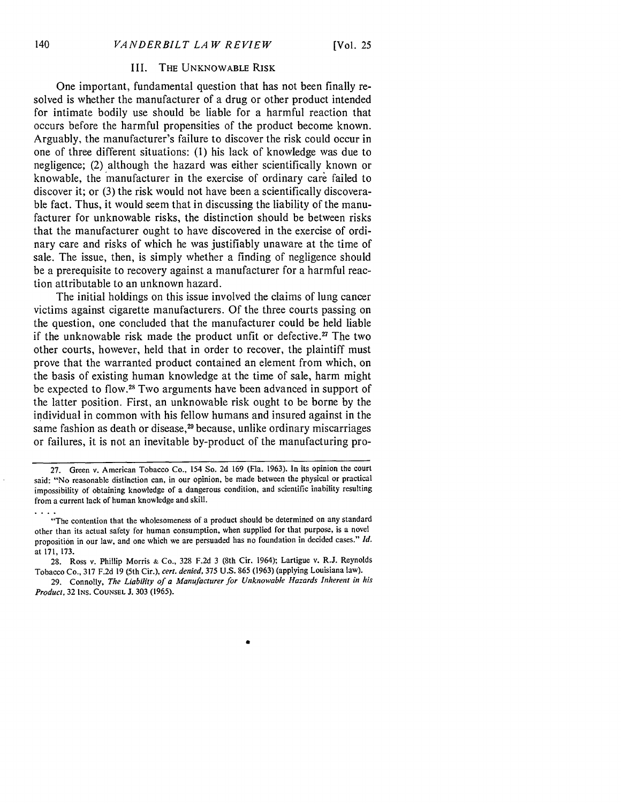#### III. THE UNKNOWABLE RISK

One important, fundamental question that has not been finally resolved is whether the manufacturer of a drug or other product intended for intimate bodily use should be liable for a harmful reaction that occurs before the harmful propensities of the product become known. Arguably, the manufacturer's failure to discover the risk could occur in one of three different situations: (1) his lack of knowledge was due to negligence; (2) although the hazard was either scientifically known or knowable, the manufacturer in the exercise of ordinary care failed to discover it; or (3) the risk would not have been a scientifically discoverable fact. Thus, it would seem that in discussing the liability of the manufacturer for unknowable risks, the distinction should be between risks that the manufacturer ought to have discovered in the exercise of ordinary care and risks of which he was justifiably unaware at the time of sale. The issue, then, is simply whether a finding of negligence should be a prerequisite to recovery against a manufacturer for a harmful reaction attributable to an unknown hazard.

The initial holdings on this issue involved the claims of lung cancer victims against cigarette manufacturers. Of the three courts passing on the question, one concluded that the manufacturer could be held liable if the unknowable risk made the product unfit or defective.<sup>27</sup> The two other courts, however, held that in order to recover, the plaintiff must prove that the warranted product contained an element from which, on the basis of existing human knowledge at the time of sale, harm might be expected to flow.<sup>28</sup> Two arguments have been advanced in support of the latter position. First, an unknowable risk ought to be borne by the individual in common with his fellow humans and insured against in the same fashion as death or disease,<sup>29</sup> because, unlike ordinary miscarriages or failures, it is not an inevitable by-product of the manufacturing pro-

**<sup>27.</sup>** Green v. American Tobacco Co., 154 So. 2d 169 (Fla. 1963). In its opinion the court said: "No reasonable distinction can, in our opinion, be made between the physical or practical impossibility of obtaining knowledge of a dangerous condition, and scientific inability resulting from a current lack of human knowledge and skill.

<sup>&</sup>quot;The contention that the wholesomeness of a product should be determined on any standard other than its actual safety for human consumption, when supplied for that purpose, is a novel proposition in our law, and one which we are persuaded has no foundation in decided cases." *Id.* at **171, 173.**

<sup>28.</sup> Ross v. Phillip Morris **&** Co., 328 F.2d 3 (8th Cir. 1964); Lartigue v. R.J. Reynolds Tobacco Co., 317 F.2d 19 (5th Cir.), cert. denied, 375 U.S. 865 (1963) (applying Louisiana law).

<sup>29.</sup> Connolly, *The Liability of a Manufacturer for Unknowable Hazards Inherent in his Product,* 32 **INs. COUNSEL J. 303** (1965).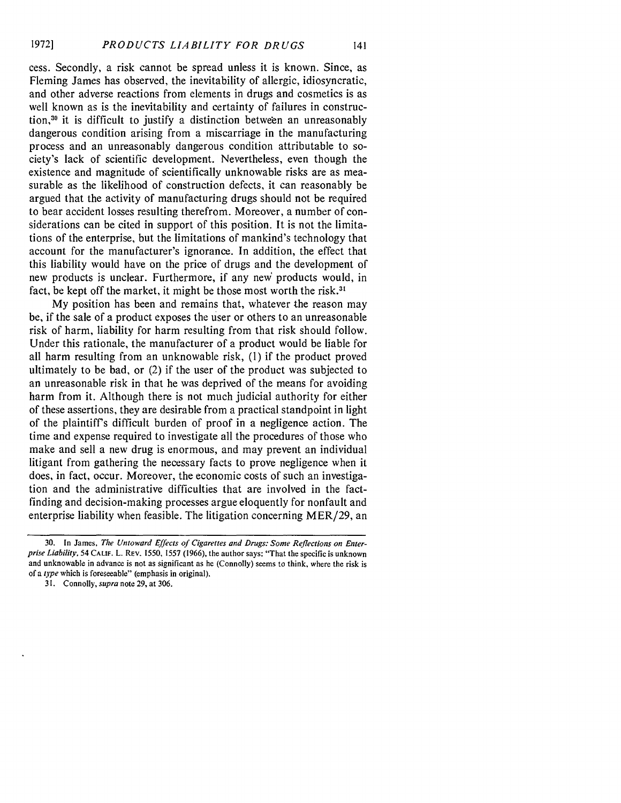cess. Secondly, a risk cannot be spread unless it is known. Since, as Fleming James has observed, the inevitability of allergic, idiosyncratic, and other adverse reactions from elements in drugs and cosmetics is as well known as is the inevitability and certainty of failures in construction 30 it is difficult to justify a distinction between an unreasonably dangerous condition arising from a miscarriage in the manufacturing process and an unreasonably dangerous condition attributable to society's lack of scientific development. Nevertheless, even though the existence and magnitude of scientifically unknowable risks are as measurable as the likelihood of construction defects, it can reasonably be argued that the activity of manufacturing drugs should not be required to bear accident losses resulting therefrom. Moreover, a number of considerations can be cited in support of this position. It is not the limitations of the enterprise, but the limitations of mankind's technology that account for the manufacturer's ignorance. In addition, the effect that this liability would have on the price of drugs and the development of new products is unclear. Furthermore, if any new' products would, in fact, be kept off the market, it might be those most worth the risk.<sup>31</sup>

My position has been and remains that, whatever the reason may be, if the sale of a product exposes the user or others to an unreasonable risk of harm, liability for harm resulting from that risk should follow. Under this rationale, the manufacturer of a product would be liable for all harm resulting from an unknowable risk, (I) if the product proved ultimately to be bad, or (2) if the user of the product was subjected to an unreasonable risk in that he was deprived of the means for avoiding harm from it. Although there is not much judicial authority for either of these assertions, they are desirable from a practical standpoint in light of the plaintiffs difficult burden of proof in a negligence action. The time and expense required to investigate all the procedures of those who make and sell a new drug is enormous, and may prevent an individual litigant from gathering the necessary facts to prove negligence when it does, in fact, occur. Moreover, the economic costs of such an investigation and the administrative difficulties that are involved in the factfinding and decision-making processes argue eloquently for nonfault and enterprise liability when feasible. The litigation concerning MER/29, an

<sup>30.</sup> In James, *The Untoward Effects of Cigarettes and Drugs: Some Reflections on Enterprise Liability,* 54 **CALIF.** L. REV. 1550, 1557 (1966), the author says: "That the specific is unknown and unknowable in advance is not as significant as he (Connolly) seems to think, where the risk is of a *type* which is foreseeable" (emphasis in original).

<sup>31.</sup> Connolly, *supra* note 29, at 306.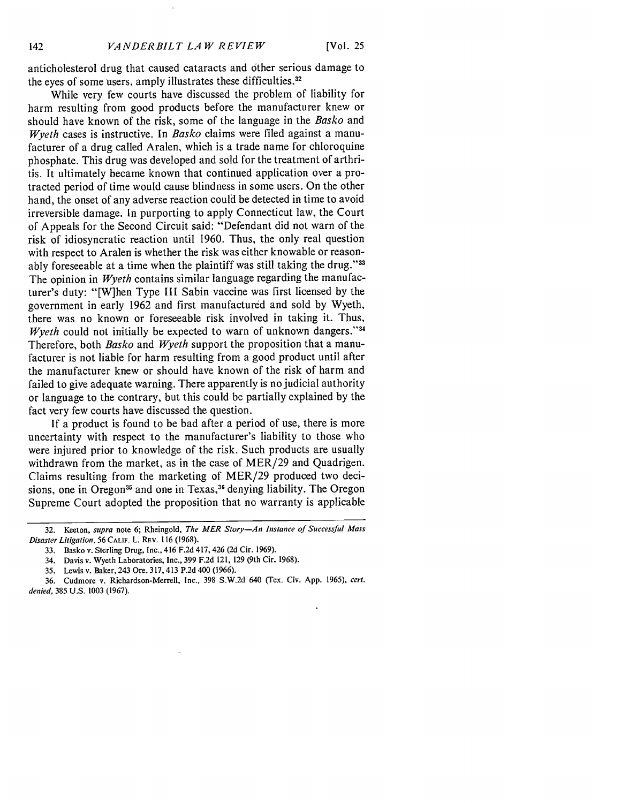anticholesterol drug that caused cataracts and other serious damage to the eyes of some users, amply illustrates these difficulties **. 3 2**

While very few courts have discussed the problem of liability for harm resulting from good products before the manufacturer knew or should have known of the risk, some of the language in the *Basko* and *Wyeth* cases is instructive. In *Basko* claims were filed against a manufacturer of a drug called Aralen, which is a trade name for chloroquine phosphate. This drug was developed and sold for the treatment of arthritis. It ultimately became known that continued application over a protracted period of time would cause blindness in some users. On the other hand, the onset of any adverse reaction could be detected in time to avoid irreversible damage. In purporting to apply Connecticut law, the Court of Appeals for the Second Circuit said: "Defendant did not warn of the risk of idiosyncratic reaction until 1960. Thus, the only real question with respect to Aralen is whether the risk was either knowable or reasonably foreseeable at a time when the plaintiff was still taking the drug."33 The opinion in *Wyeth* contains similar language regarding the manufacturer's duty: "[W]hen Type III Sabin vaccine was first licensed by the government in early 1962 and first manufactured and sold by Wyeth, there was no known or foreseeable risk involved in taking it. Thus, *Wyeth* could not initially be expected to warn of unknown dangers."<sup>34</sup> Therefore, both *Basko* and *Wyeth* support the proposition that a manufacturer is not liable for harm resulting from a good product until after the manufacturer knew or should have known of the risk of harm and failed to give adequate warning. There apparently is no judicial authority or language to the contrary, but this could be partially explained by the fact very few courts have discussed the question.

If a product is found to be bad after a period of use, there is more uncertainty with respect to the manufacturer's liability to those who were injured prior to knowledge of the risk. Such products are usually withdrawn from the market, as in the case of MER/29 and Quadrigen. Claims resulting from the marketing of MER/29 produced two decisions, one in Oregon<sup>35</sup> and one in Texas,<sup>36</sup> denying liability. The Oregon Supreme Court adopted the proposition that no warranty is applicable

**<sup>32.</sup>** Keeton, *supra* note **6;** Rheingold, *The MER Story-An Instance of Successful Mass Disaster Litigation,* **56 CALIF.** L. **REv. 116 (1968).**

**<sup>33.</sup>** Basko v. Sterling Drug, Inc., 416 **F.2d** 417,426 **(2d** Cir. **1969).**

<sup>34.</sup> Davis v. Wyeth Laboratories, Inc., **399 F.2d** 121, **129** (9th Cir. **1968).**

**<sup>35.</sup>** Lewis v. Baker, 243 Ore. **317,413** P.2d **400 (1966).**

**<sup>36.</sup>** Cudmore v. Richardson-Merrell, Inc., **398 S.W.2d** 640 (Tex. Civ. **App. 1965),** *cert. denied,* **385 U.S. 1003 (1967).**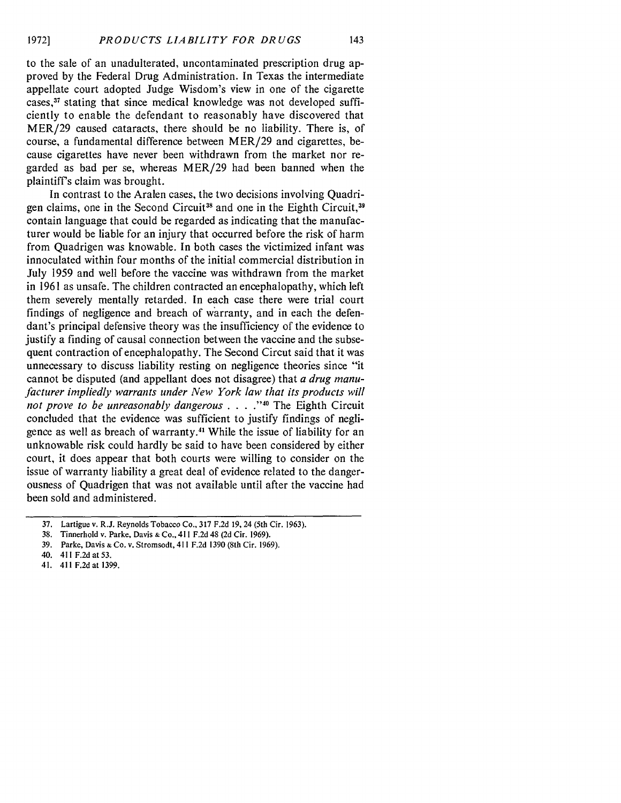to the sale of an unadulterated, uncontaminated prescription drug approved by the Federal Drug Administration. In Texas the intermediate appellate court adopted Judge Wisdom's view in one of the cigarette cases,<sup>37</sup> stating that since medical knowledge was not developed sufficiently to enable the defendant to reasonably have discovered that MER/29 caused cataracts, there should be no liability. There is, of course, a fundamental difference between MER/29 and cigarettes, because cigarettes have never been withdrawn from the market nor regarded as bad per se, whereas MER/29 had been banned when the plaintiff's claim was brought.

In contrast to the Aralen cases, the two decisions involving Quadrigen claims, one in the Second Circuit<sup>38</sup> and one in the Eighth Circuit,<sup>39</sup> contain language that could be regarded as indicating that the manufacturer would be liable for an injury that occurred before the risk of harm from Quadrigen was knowable. In both cases the victimized infant was innoculated within four months of the initial commercial distribution in July 1959 and well before the vaccine was withdrawn from the market in 1961 as unsafe. The children contracted an encephalopathy, which left them severely mentally retarded. In each case there were trial court findings of negligence and breach of warranty, and in each the defendant's principal defensive theory was the insufficiency of the evidence to justify a finding of causal connection between the vaccine and the subsequent contraction of encephalopathy. The Second Circut said that it was unnecessary to discuss liability resting on negligence theories since "it cannot be disputed (and appellant does not disagree) that *a drug manufacturer impliedly warrants under New York law that its products will not prove to be unreasonably dangerous* **.... "0** The Eighth Circuit concluded that the evidence was sufficient to justify findings of negligence as well as breach of warranty.<sup>41</sup> While the issue of liability for an unknowable risk could hardly be said to have been considered by either court, it does appear that both courts were willing to consider on the issue of warranty liability a great deal of evidence related to the dangerousness of Quadrigen that was not available until after the vaccine had been sold and administered.

**<sup>37.</sup>** Lartigue v. R.J. Reynolds **Tobacco** Co., **317 F.2d 19,** 24 **(5th** Cir. **1963).**

**<sup>38.</sup> Tinnerhold** v. Parke, Davis **&** Co., **411 F.2d** 48 **(2d** Cir. **1969).**

**<sup>39.</sup>** Parke, Davis **& Co.** v. Stromsodt, 411 **F.2d 1390 (8th** Cir. **1969).**

**<sup>40. 411</sup> F.2d at 53.**

<sup>41.</sup> **411 F.2d** at **1399.**